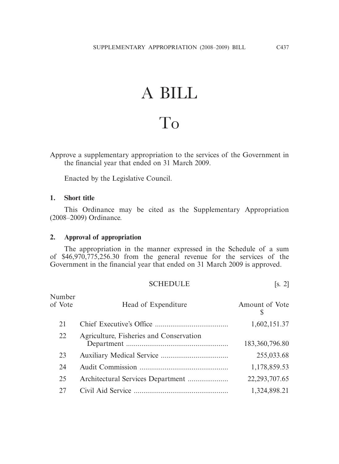# A BILL

## To

Approve a supplementary appropriation to the services of the Government in the financial year that ended on 31 March 2009.

Enacted by the Legislative Council.

#### **1. Short title**

 This Ordinance may be cited as the Supplementary Appropriation (2008–2009) Ordinance.

#### **2. Approval of appropriation**

 The appropriation in the manner expressed in the Schedule of a sum of \$46,970,775,256.30 from the general revenue for the services of the Government in the financial year that ended on 31 March 2009 is approved.

#### SCHEDULE [s. 2]

| Number<br>of Vote | Head of Expenditure                     | Amount of Vote<br>S |
|-------------------|-----------------------------------------|---------------------|
| 21                |                                         | 1,602,151.37        |
| 22                | Agriculture, Fisheries and Conservation | 183,360,796.80      |
| 23                |                                         | 255,033.68          |
| 24                |                                         | 1,178,859.53        |
| 25                |                                         | 22, 293, 707. 65    |
| 27                |                                         | 1,324,898.21        |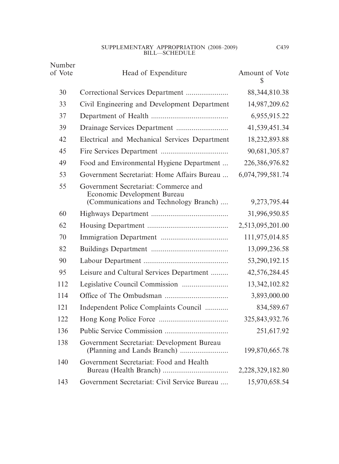#### SUPPLEMENTARY APPROPRIATION (2008–2009) BILL—SCHEDULE

| Number<br>of Vote | Head of Expenditure                                                                                           | Amount of Vote<br>S |
|-------------------|---------------------------------------------------------------------------------------------------------------|---------------------|
| 30                |                                                                                                               | 88, 344, 810. 38    |
| 33                | Civil Engineering and Development Department                                                                  | 14,987,209.62       |
| 37                |                                                                                                               | 6,955,915.22        |
| 39                |                                                                                                               | 41,539,451.34       |
| 42                | Electrical and Mechanical Services Department                                                                 | 18,232,893.88       |
| 45                |                                                                                                               | 90,681,305.87       |
| 49                | Food and Environmental Hygiene Department                                                                     | 226,386,976.82      |
| 53                | Government Secretariat: Home Affairs Bureau                                                                   | 6,074,799,581.74    |
| 55                | Government Secretariat: Commerce and<br>Economic Development Bureau<br>(Communications and Technology Branch) | 9,273,795.44        |
| 60                |                                                                                                               | 31,996,950.85       |
| 62                |                                                                                                               | 2,513,095,201.00    |
| 70                |                                                                                                               | 111,975,014.85      |
| 82                |                                                                                                               | 13,099,236.58       |
| 90                |                                                                                                               | 53,290,192.15       |
| 95                | Leisure and Cultural Services Department                                                                      | 42,576,284.45       |
| 112               |                                                                                                               | 13, 342, 102.82     |
| 114               |                                                                                                               | 3,893,000.00        |
| 121               | Independent Police Complaints Council                                                                         | 834,589.67          |
| 122               |                                                                                                               | 325, 843, 932. 76   |
| 136               |                                                                                                               | 251,617.92          |
| 138               | Government Secretariat: Development Bureau                                                                    | 199,870,665.78      |
| 140               | Government Secretariat: Food and Health                                                                       | 2,228,329,182.80    |
| 143               | Government Secretariat: Civil Service Bureau                                                                  | 15,970,658.54       |

C439